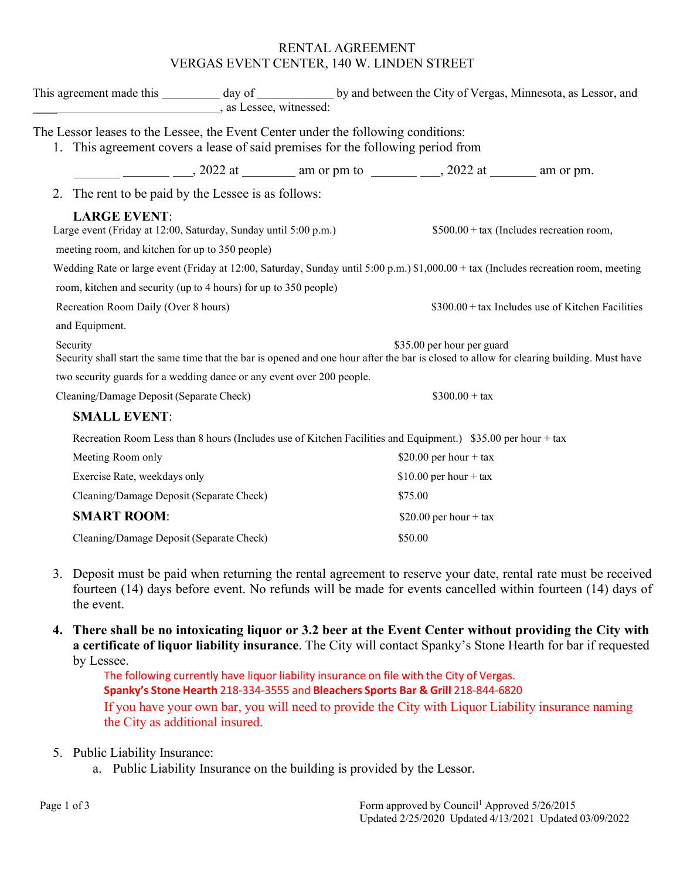#### RENTAL AGREEMENT VERGAS EVENT CENTER, 140 W. LINDEN STREET

| as Lessee, witnessed:                                                                                                                                                   |                                                                                                              |  | This agreement made this __________ day of _______________ by and between the City of Vergas, Minnesota, as Lessor, and |  |  |  |
|-------------------------------------------------------------------------------------------------------------------------------------------------------------------------|--------------------------------------------------------------------------------------------------------------|--|-------------------------------------------------------------------------------------------------------------------------|--|--|--|
| The Lessor leases to the Lessee, the Event Center under the following conditions:<br>This agreement covers a lease of said premises for the following period from<br>1. |                                                                                                              |  |                                                                                                                         |  |  |  |
|                                                                                                                                                                         |                                                                                                              |  |                                                                                                                         |  |  |  |
| 2. The rent to be paid by the Lessee is as follows:                                                                                                                     |                                                                                                              |  |                                                                                                                         |  |  |  |
| <b>LARGE EVENT:</b><br>Large event (Friday at 12:00, Saturday, Sunday until 5:00 p.m.)<br>meeting room, and kitchen for up to 350 people)                               |                                                                                                              |  | $$500.00 + tax$ (Includes recreation room,                                                                              |  |  |  |
| Wedding Rate or large event (Friday at 12:00, Saturday, Sunday until 5:00 p.m.) \$1,000.00 + tax (Includes recreation room, meeting                                     |                                                                                                              |  |                                                                                                                         |  |  |  |
| room, kitchen and security (up to 4 hours) for up to 350 people)                                                                                                        |                                                                                                              |  |                                                                                                                         |  |  |  |
| Recreation Room Daily (Over 8 hours)                                                                                                                                    |                                                                                                              |  | \$300.00 + tax Includes use of Kitchen Facilities                                                                       |  |  |  |
| and Equipment.                                                                                                                                                          |                                                                                                              |  |                                                                                                                         |  |  |  |
| Security<br>Security shall start the same time that the bar is opened and one hour after the bar is closed to allow for clearing building. Must have                    |                                                                                                              |  | \$35.00 per hour per guard                                                                                              |  |  |  |
| two security guards for a wedding dance or any event over 200 people.                                                                                                   |                                                                                                              |  |                                                                                                                         |  |  |  |
| Cleaning/Damage Deposit (Separate Check)                                                                                                                                |                                                                                                              |  | $$300.00 + tax$                                                                                                         |  |  |  |
| <b>SMALL EVENT:</b>                                                                                                                                                     |                                                                                                              |  |                                                                                                                         |  |  |  |
|                                                                                                                                                                         |                                                                                                              |  |                                                                                                                         |  |  |  |
| Meeting Room only                                                                                                                                                       | Recreation Room Less than 8 hours (Includes use of Kitchen Facilities and Equipment.) \$35.00 per hour + tax |  | \$20.00 per hour + tax                                                                                                  |  |  |  |
| Exercise Rate, weekdays only                                                                                                                                            |                                                                                                              |  | \$10.00 per hour + tax                                                                                                  |  |  |  |
| Cleaning/Damage Deposit (Separate Check)                                                                                                                                |                                                                                                              |  | \$75.00                                                                                                                 |  |  |  |
| <b>SMART ROOM:</b>                                                                                                                                                      |                                                                                                              |  | \$20.00 per hour + tax                                                                                                  |  |  |  |
| Cleaning/Damage Deposit (Separate Check)                                                                                                                                |                                                                                                              |  | \$50.00                                                                                                                 |  |  |  |

- 3. Deposit must be paid when returning the rental agreement to reserve your date, rental rate must be received fourteen (14) days before event. No refunds will be made for events cancelled within fourteen (14) days of the event.
- **4. There shall be no intoxicating liquor or 3.2 beer at the Event Center without providing the City with a certificate of liquor liability insurance**. The City will contact Spanky's Stone Hearth for bar if requested by Lessee.

The following currently have liquor liability insurance on file with the City of Vergas. **Spanky's Stone Hearth** 218-334-3555 and **Bleachers Sports Bar & Grill** 218-844-6820 If you have your own bar, you will need to provide the City with Liquor Liability insurance naming the City as additional insured.

- 5. Public Liability Insurance:
	- a. Public Liability Insurance on the building is provided by the Lessor.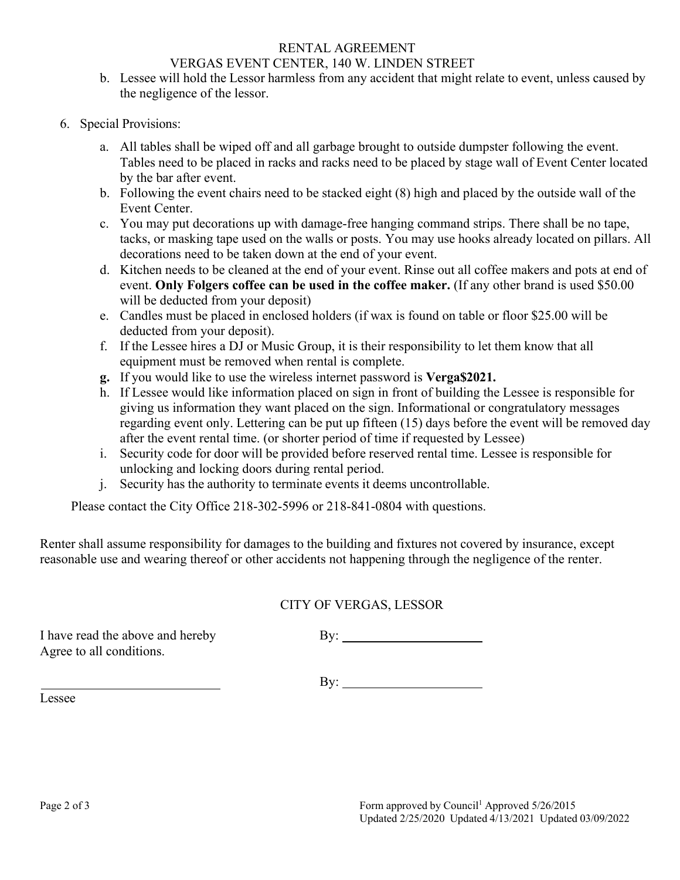# RENTAL AGREEMENT

### VERGAS EVENT CENTER, 140 W. LINDEN STREET

- b. Lessee will hold the Lessor harmless from any accident that might relate to event, unless caused by the negligence of the lessor.
- 6. Special Provisions:
	- a. All tables shall be wiped off and all garbage brought to outside dumpster following the event. Tables need to be placed in racks and racks need to be placed by stage wall of Event Center located by the bar after event.
	- b. Following the event chairs need to be stacked eight (8) high and placed by the outside wall of the Event Center.
	- c. You may put decorations up with damage-free hanging command strips. There shall be no tape, tacks, or masking tape used on the walls or posts. You may use hooks already located on pillars. All decorations need to be taken down at the end of your event.
	- d. Kitchen needs to be cleaned at the end of your event. Rinse out all coffee makers and pots at end of event. **Only Folgers coffee can be used in the coffee maker.** (If any other brand is used \$50.00 will be deducted from your deposit)
	- e. Candles must be placed in enclosed holders (if wax is found on table or floor \$25.00 will be deducted from your deposit).
	- f. If the Lessee hires a DJ or Music Group, it is their responsibility to let them know that all equipment must be removed when rental is complete.
	- **g.** If you would like to use the wireless internet password is **Verga\$2021.**
	- h. If Lessee would like information placed on sign in front of building the Lessee is responsible for giving us information they want placed on the sign. Informational or congratulatory messages regarding event only. Lettering can be put up fifteen (15) days before the event will be removed day after the event rental time. (or shorter period of time if requested by Lessee)
	- i. Security code for door will be provided before reserved rental time. Lessee is responsible for unlocking and locking doors during rental period.
	- j. Security has the authority to terminate events it deems uncontrollable.

Please contact the City Office 218-302-5996 or 218-841-0804 with questions.

Renter shall assume responsibility for damages to the building and fixtures not covered by insurance, except reasonable use and wearing thereof or other accidents not happening through the negligence of the renter.

# CITY OF VERGAS, LESSOR

I have read the above and hereby By: Agree to all conditions.

By:

Lessee